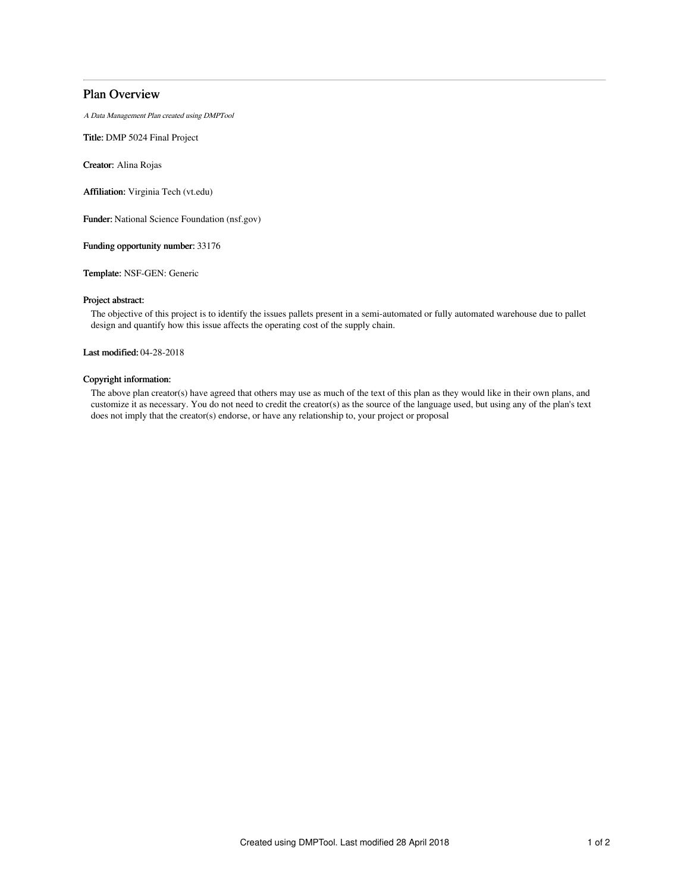## Plan Overview

A Data Management Plan created using DMPTool

Title: DMP 5024 Final Project

Creator: Alina Rojas

Affiliation: Virginia Tech (vt.edu)

Funder: National Science Foundation (nsf.gov)

Funding opportunity number: 33176

Template: NSF-GEN: Generic

### Project abstract:

The objective of this project is to identify the issues pallets present in a semi-automated or fully automated warehouse due to pallet design and quantify how this issue affects the operating cost of the supply chain.

Last modified: 04-28-2018

## Copyright information:

The above plan creator(s) have agreed that others may use as much of the text of this plan as they would like in their own plans, and customize it as necessary. You do not need to credit the creator(s) as the source of the language used, but using any of the plan's text does not imply that the creator(s) endorse, or have any relationship to, your project or proposal